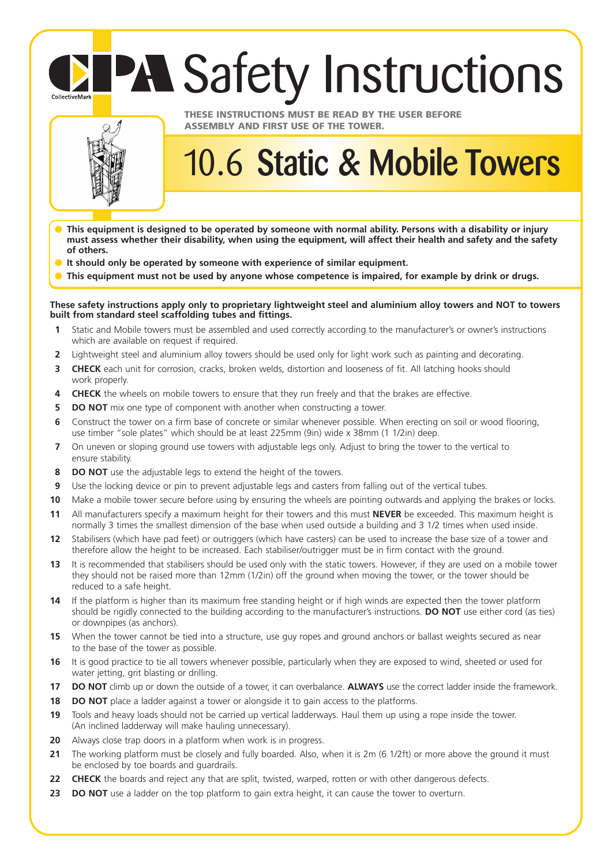## **PA Safety Instructions** CollectiveMark



## **THESE INSTRUCTIONS MUST BE READ BY THE USER BEFORE ASSEMBLY AND FIRST USE OF THE TOWER.**

## 10.6 **Static & Mobile Towers**

- **This equipment is designed to be operated by someone with normal ability. Persons with a disability or injury must assess whether their disability, when using the equipment, will affect their health and safety and the safety of others.**
- **It should only be operated by someone with experience of similar equipment.**
- This equipment must not be used by anyone whose competence is impaired, for example by drink or drugs.

**These safety instructions apply only to proprietary lightweight steel and aluminium alloy towers and NOT to towers built from standard steel scaffolding tubes and fittings.**

- **1** Static and Mobile towers must be assembled and used correctly according to the manufacturer's or owner's instructions which are available on request if required.
- **2** Lightweight steel and aluminium alloy towers should be used only for light work such as painting and decorating.
- **3 CHECK** each unit for corrosion, cracks, broken welds, distortion and looseness of fit. All latching hooks should work properly.
- **4 CHECK** the wheels on mobile towers to ensure that they run freely and that the brakes are effective.
- **5 DO NOT** mix one type of component with another when constructing a tower.
- **6** Construct the tower on a firm base of concrete or similar whenever possible. When erecting on soil or wood flooring, use timber "sole plates" which should be at least 225mm (9in) wide x 38mm (1 1/2in) deep.
- **7** On uneven or sloping ground use towers with adjustable legs only. Adjust to bring the tower to the vertical to ensure stability.
- **8 DO NOT** use the adjustable legs to extend the height of the towers.
- **9** Use the locking device or pin to prevent adjustable legs and casters from falling out of the vertical tubes.
- **10** Make a mobile tower secure before using by ensuring the wheels are pointing outwards and applying the brakes or locks.
- **11** All manufacturers specify a maximum height for their towers and this must **NEVER** be exceeded. This maximum height is normally 3 times the smallest dimension of the base when used outside a building and 3 1/2 times when used inside.
- **12** Stabilisers (which have pad feet) or outriggers (which have casters) can be used to increase the base size of a tower and therefore allow the height to be increased. Each stabiliser/outrigger must be in firm contact with the ground.
- **13** It is recommended that stabilisers should be used only with the static towers. However, if they are used on a mobile tower they should not be raised more than 12mm (1/2in) off the ground when moving the tower, or the tower should be reduced to a safe height.
- **14** If the platform is higher than its maximum free standing height or if high winds are expected then the tower platform should be rigidly connected to the building according to the manufacturer's instructions. **DO NOT** use either cord (as ties) or downpipes (as anchors).
- **15** When the tower cannot be tied into a structure, use guy ropes and ground anchors or ballast weights secured as near to the base of the tower as possible.
- **16** It is good practice to tie all towers whenever possible, particularly when they are exposed to wind, sheeted or used for water jetting, grit blasting or drilling.
- **17 DO NOT** climb up or down the outside of a tower, it can overbalance. **ALWAYS** use the correct ladder inside the framework.
- **18 DO NOT** place a ladder against a tower or alongside it to gain access to the platforms.
- **19** Tools and heavy loads should not be carried up vertical ladderways. Haul them up using a rope inside the tower. (An inclined ladderway will make hauling unnecessary).
- **20** Always close trap doors in a platform when work is in progress.
- **21** The working platform must be closely and fully boarded. Also, when it is 2m (6 1/2ft) or more above the ground it must be enclosed by toe boards and guardrails.
- **22 CHECK** the boards and reject any that are split, twisted, warped, rotten or with other dangerous defects.
- **23 DO NOT** use a ladder on the top platform to gain extra height, it can cause the tower to overturn.